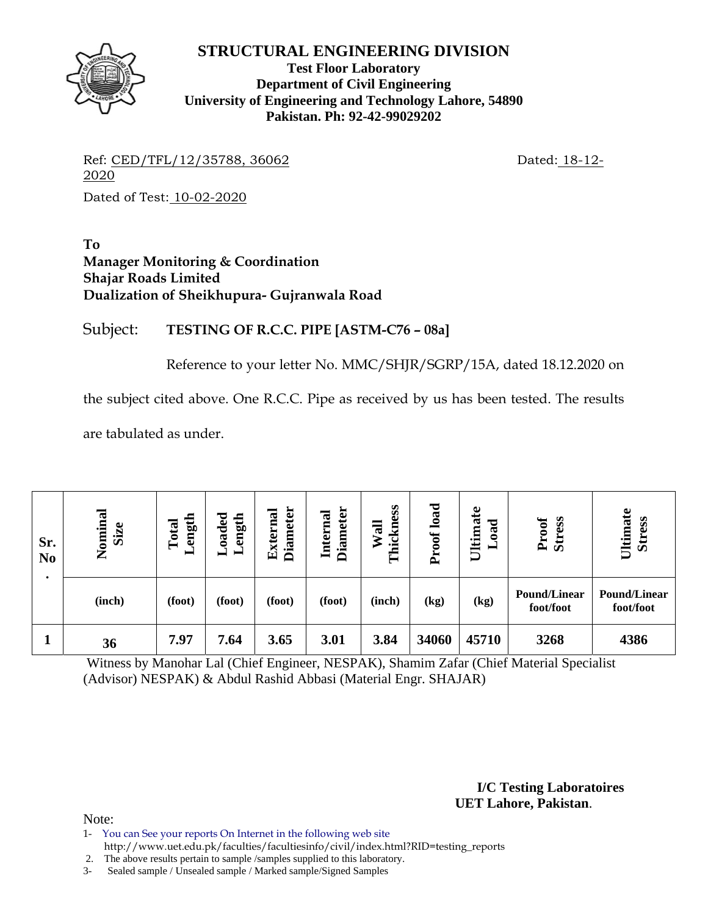

**Test Floor Laboratory Department of Civil Engineering University of Engineering and Technology Lahore, 54890 Pakistan. Ph: 92-42-99029202** 

Ref: CED/TFL/12/35788, 36062 Dated: 18-12-2020

Dated of Test: 10-02-2020

**To Manager Monitoring & Coordination Shajar Roads Limited Dualization of Sheikhupura- Gujranwala Road** 

Subject: **TESTING OF R.C.C. PIPE [ASTM-C76 – 08a]**

Reference to your letter No. MMC/SHJR/SGRP/15A, dated 18.12.2020 on

the subject cited above. One R.C.C. Pipe as received by us has been tested. The results

are tabulated as under.

| Sr.<br>N <sub>0</sub> | Nominal<br>Size | ength<br>Total<br>▬ | Loaded<br>Length | <b>Diameter</b><br>External | <b>Diameter</b><br><b>Internal</b> | Thickness<br>Wall | load<br>roof<br>$\Delta$ | Ultimate<br>ರ<br>$\boldsymbol{a}$ | Proof<br><b>Stress</b>           | Ultimate<br><b>Stress</b>        |
|-----------------------|-----------------|---------------------|------------------|-----------------------------|------------------------------------|-------------------|--------------------------|-----------------------------------|----------------------------------|----------------------------------|
|                       | (inch)          | (foot)              | (foot)           | (foot)                      | (foot)                             | (inch)            | (kg)                     | (kg)                              | <b>Pound/Linear</b><br>foot/foot | <b>Pound/Linear</b><br>foot/foot |
|                       | 36              | 7.97                | 7.64             | 3.65                        | 3.01                               | 3.84              | 34060                    | 45710                             | 3268                             | 4386                             |

 Witness by Manohar Lal (Chief Engineer, NESPAK), Shamim Zafar (Chief Material Specialist (Advisor) NESPAK) & Abdul Rashid Abbasi (Material Engr. SHAJAR)

> **I/C Testing Laboratoires UET Lahore, Pakistan**.

Note:

1- You can See your reports On Internet in the following web site http://www.uet.edu.pk/faculties/facultiesinfo/civil/index.html?RID=testing\_reports

2. The above results pertain to sample /samples supplied to this laboratory.

3- Sealed sample / Unsealed sample / Marked sample/Signed Samples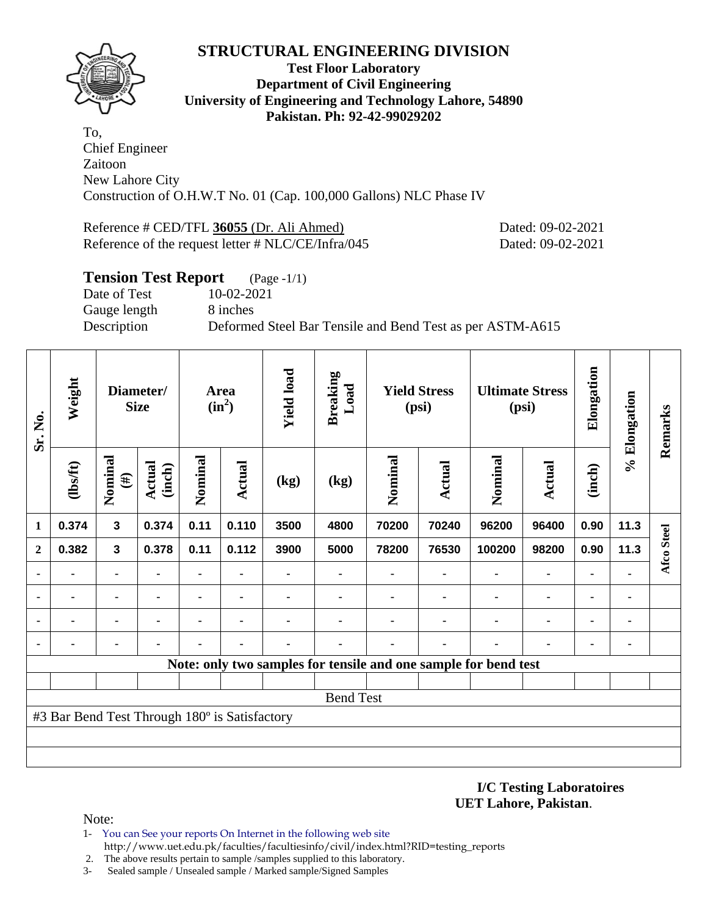

#### **Test Floor Laboratory Department of Civil Engineering University of Engineering and Technology Lahore, 54890 Pakistan. Ph: 92-42-99029202**

To, Chief Engineer Zaitoon New Lahore City Construction of O.H.W.T No. 01 (Cap. 100,000 Gallons) NLC Phase IV

Reference # CED/TFL **36055** (Dr. Ali Ahmed) Dated: 09-02-2021 Reference of the request letter # NLC/CE/Infra/045 Dated: 09-02-2021

| <b>Tension Test Report</b> | $(Page - 1/1)$                                            |
|----------------------------|-----------------------------------------------------------|
| Date of Test               | 10-02-2021                                                |
| Gauge length               | 8 inches                                                  |
| Description                | Deformed Steel Bar Tensile and Bend Test as per ASTM-A615 |
|                            |                                                           |

| Sr. No.      | Weight                                        |                                                                                | Diameter/<br><b>Size</b> | Area<br>$(in^2)$          |       | <b>Yield load</b> | <b>Breaking</b><br>Load | <b>Yield Stress</b><br>(psi) |         | <b>Ultimate Stress</b><br>(psi)                                 |                | Elongation     | % Elongation | Remarks    |
|--------------|-----------------------------------------------|--------------------------------------------------------------------------------|--------------------------|---------------------------|-------|-------------------|-------------------------|------------------------------|---------|-----------------------------------------------------------------|----------------|----------------|--------------|------------|
|              | (1bsft)                                       | Nominal<br><b>Actual</b><br>(inch)<br>$(\#)$<br>0.374<br>$\mathbf{3}$<br>0.374 |                          | Nominal<br>Actual<br>(kg) |       | (kg)              | Nominal<br>Actual       |                              | Nominal | Actual                                                          | (inch)         |                |              |            |
| 1            |                                               |                                                                                |                          | 0.11                      | 0.110 | 3500              | 4800                    | 70200                        | 70240   | 96200                                                           | 96400          | 0.90           | 11.3         |            |
| $\mathbf{2}$ | 0.382                                         | $\mathbf{3}$                                                                   | 0.378                    | 0.11                      | 0.112 | 3900              | 5000                    | 78200                        | 76530   | 100200                                                          | 98200          | 0.90           | 11.3         | Afco Steel |
|              |                                               | ۰                                                                              |                          | ۰                         |       |                   |                         |                              |         |                                                                 | $\blacksquare$ | ۰              |              |            |
|              |                                               |                                                                                |                          | ۰                         |       |                   |                         |                              |         |                                                                 | ۰              | $\blacksquare$ | ۰            |            |
|              |                                               |                                                                                |                          | ۰                         | ٠     |                   |                         |                              |         |                                                                 | ۰              |                | ٠            |            |
|              |                                               |                                                                                |                          |                           |       |                   |                         |                              | ٠       |                                                                 |                | ٠              | ٠            |            |
|              |                                               |                                                                                |                          |                           |       |                   |                         |                              |         | Note: only two samples for tensile and one sample for bend test |                |                |              |            |
|              |                                               |                                                                                |                          |                           |       |                   |                         |                              |         |                                                                 |                |                |              |            |
|              |                                               |                                                                                |                          |                           |       |                   | <b>Bend Test</b>        |                              |         |                                                                 |                |                |              |            |
|              | #3 Bar Bend Test Through 180° is Satisfactory |                                                                                |                          |                           |       |                   |                         |                              |         |                                                                 |                |                |              |            |
|              |                                               |                                                                                |                          |                           |       |                   |                         |                              |         |                                                                 |                |                |              |            |
|              |                                               |                                                                                |                          |                           |       |                   |                         |                              |         |                                                                 |                |                |              |            |

**I/C Testing Laboratoires UET Lahore, Pakistan**.

Note:

- 1- You can See your reports On Internet in the following web site http://www.uet.edu.pk/faculties/facultiesinfo/civil/index.html?RID=testing\_reports
- 2. The above results pertain to sample /samples supplied to this laboratory.
- 3- Sealed sample / Unsealed sample / Marked sample/Signed Samples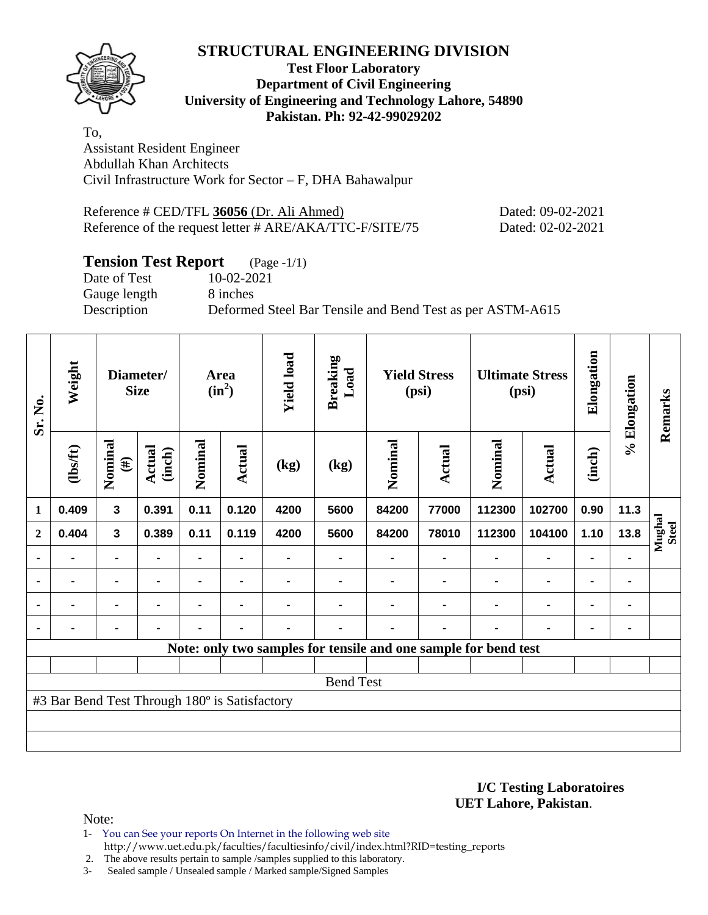

#### **Test Floor Laboratory Department of Civil Engineering University of Engineering and Technology Lahore, 54890 Pakistan. Ph: 92-42-99029202**

To, Assistant Resident Engineer Abdullah Khan Architects Civil Infrastructure Work for Sector – F, DHA Bahawalpur

Reference # CED/TFL **36056** (Dr. Ali Ahmed) Dated: 09-02-2021 Reference of the request letter # ARE/AKA/TTC-F/SITE/75 Dated: 02-02-2021

## **Tension Test Report** (Page -1/1)

Gauge length 8 inches

Date of Test 10-02-2021

Description Deformed Steel Bar Tensile and Bend Test as per ASTM-A615

| Sr. No.      | Weight                                        |                         | Diameter/<br><b>Size</b> |         |                | Area<br>$(in^2)$ |                                                                 | <b>Yield load</b> | <b>Breaking</b><br>Load | <b>Yield Stress</b><br>(psi) |                | <b>Ultimate Stress</b><br>(psi) |      | Elongation             | % Elongation | Remarks |
|--------------|-----------------------------------------------|-------------------------|--------------------------|---------|----------------|------------------|-----------------------------------------------------------------|-------------------|-------------------------|------------------------------|----------------|---------------------------------|------|------------------------|--------------|---------|
|              | $\frac{2}{10}$                                | Nominal<br>$(\#)$       | <b>Actual</b><br>(inch)  | Nominal | Actual         | (kg)             | (kg)                                                            | Nominal           | Actual                  | Nominal                      | <b>Actual</b>  | (inch)                          |      |                        |              |         |
| $\mathbf{1}$ | 0.409                                         | $\overline{\mathbf{3}}$ | 0.391                    | 0.11    | 0.120          | 4200             | 5600                                                            | 84200             | 77000                   | 112300                       | 102700         | 0.90                            | 11.3 |                        |              |         |
| $\mathbf{2}$ | 0.404                                         | $\overline{\mathbf{3}}$ | 0.389                    | 0.11    | 0.119          | 4200             | 5600                                                            | 84200             | 78010                   | 112300                       | 104100         | 1.10                            | 13.8 | Mughal<br><b>Steel</b> |              |         |
|              | $\blacksquare$                                |                         | $\blacksquare$           |         |                |                  | ۰                                                               |                   |                         |                              | $\blacksquare$ |                                 |      |                        |              |         |
| ۰            |                                               | ٠                       |                          |         | ٠              |                  |                                                                 |                   |                         |                              |                | $\blacksquare$                  | ٠    |                        |              |         |
| ٠            |                                               | ۰                       | $\blacksquare$           | ۰       | $\blacksquare$ |                  |                                                                 |                   |                         | ٠                            | $\blacksquare$ | $\blacksquare$                  | ٠    |                        |              |         |
| ٠            |                                               | ۰                       |                          |         | ٠              |                  |                                                                 |                   |                         | ٠                            | $\blacksquare$ | $\blacksquare$                  | ۰    |                        |              |         |
|              |                                               |                         |                          |         |                |                  | Note: only two samples for tensile and one sample for bend test |                   |                         |                              |                |                                 |      |                        |              |         |
|              |                                               |                         |                          |         |                |                  |                                                                 |                   |                         |                              |                |                                 |      |                        |              |         |
|              |                                               |                         |                          |         |                |                  | <b>Bend Test</b>                                                |                   |                         |                              |                |                                 |      |                        |              |         |
|              | #3 Bar Bend Test Through 180° is Satisfactory |                         |                          |         |                |                  |                                                                 |                   |                         |                              |                |                                 |      |                        |              |         |
|              |                                               |                         |                          |         |                |                  |                                                                 |                   |                         |                              |                |                                 |      |                        |              |         |
|              |                                               |                         |                          |         |                |                  |                                                                 |                   |                         |                              |                |                                 |      |                        |              |         |

**I/C Testing Laboratoires UET Lahore, Pakistan**.

Note:

- 1- You can See your reports On Internet in the following web site
	- http://www.uet.edu.pk/faculties/facultiesinfo/civil/index.html?RID=testing\_reports

 2. The above results pertain to sample /samples supplied to this laboratory. 3- Sealed sample / Unsealed sample / Marked sample/Signed Samples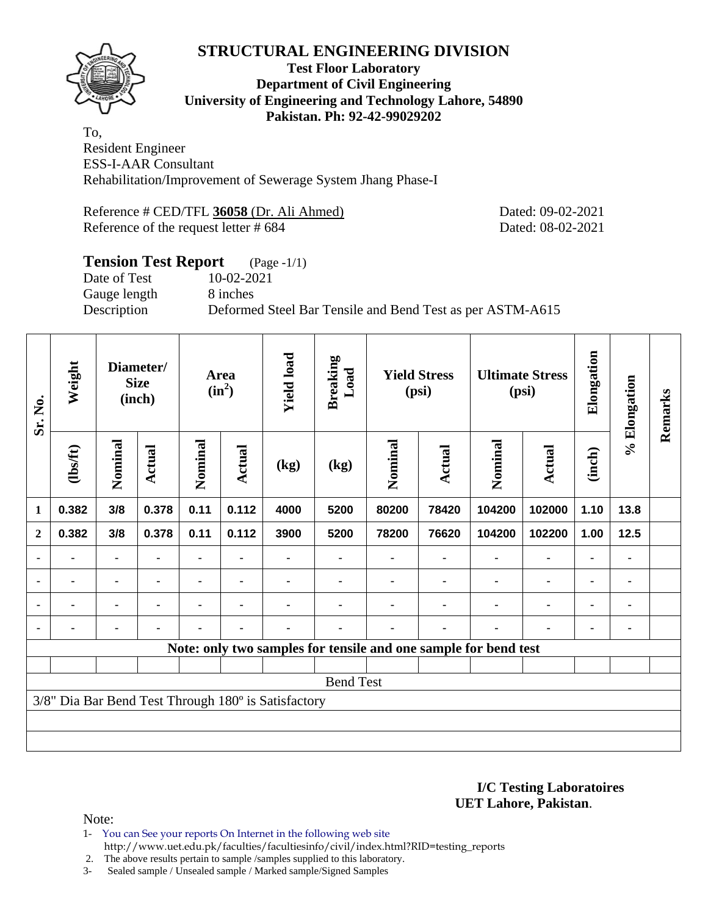

#### **Test Floor Laboratory Department of Civil Engineering University of Engineering and Technology Lahore, 54890 Pakistan. Ph: 92-42-99029202**

To, Resident Engineer ESS-I-AAR Consultant Rehabilitation/Improvement of Sewerage System Jhang Phase-I

Reference # CED/TFL **36058** (Dr. Ali Ahmed) Dated: 09-02-2021 Reference of the request letter # 684 Dated: 08-02-2021

## **Tension Test Report** (Page -1/1) Date of Test 10-02-2021 Gauge length 8 inches Description Deformed Steel Bar Tensile and Bend Test as per ASTM-A615

| Weight<br>Sr. No. |                  |                | Diameter/<br><b>Size</b><br>(inch) |      | Area<br>$(in^2)$ | <b>Yield load</b>                                   | <b>Breaking</b><br>Load | <b>Yield Stress</b><br>(psi) |        | <b>Ultimate Stress</b><br>(psi)                                 |                | Elongation     | % Elongation | Remarks |
|-------------------|------------------|----------------|------------------------------------|------|------------------|-----------------------------------------------------|-------------------------|------------------------------|--------|-----------------------------------------------------------------|----------------|----------------|--------------|---------|
|                   | (1bsft)          | Nominal        | <b>Actual</b><br>3/8<br>0.378      |      | <b>Actual</b>    | (kg)                                                | (kg)                    | Nominal                      | Actual | Nominal                                                         | <b>Actual</b>  | (inch)         |              |         |
| 1                 | 0.382            |                |                                    | 0.11 | 0.112            | 4000                                                | 5200                    | 80200                        | 78420  | 104200                                                          | 102000         | 1.10           | 13.8         |         |
| $\mathbf{2}$      | 0.382            | 3/8            | 0.378                              | 0.11 | 0.112            | 3900                                                | 5200                    | 78200                        | 76620  | 104200                                                          | 102200         | 1.00           | $12.5$       |         |
|                   |                  | ۰              |                                    |      |                  |                                                     |                         |                              |        |                                                                 |                |                |              |         |
| $\blacksquare$    | $\blacksquare$   | ۰              | $\blacksquare$                     |      |                  |                                                     |                         |                              |        | ٠                                                               | ۰              | ۰              |              |         |
|                   | $\blacksquare$   | $\blacksquare$ | ٠                                  | ۰    |                  |                                                     |                         |                              |        | ٠                                                               | $\blacksquare$ | ٠              |              |         |
|                   |                  | ۰              | ٠                                  |      | $\blacksquare$   |                                                     |                         |                              | ٠      |                                                                 |                | $\blacksquare$ |              |         |
|                   |                  |                |                                    |      |                  |                                                     |                         |                              |        | Note: only two samples for tensile and one sample for bend test |                |                |              |         |
|                   |                  |                |                                    |      |                  |                                                     |                         |                              |        |                                                                 |                |                |              |         |
|                   | <b>Bend Test</b> |                |                                    |      |                  |                                                     |                         |                              |        |                                                                 |                |                |              |         |
|                   |                  |                |                                    |      |                  | 3/8" Dia Bar Bend Test Through 180° is Satisfactory |                         |                              |        |                                                                 |                |                |              |         |
|                   |                  |                |                                    |      |                  |                                                     |                         |                              |        |                                                                 |                |                |              |         |
|                   |                  |                |                                    |      |                  |                                                     |                         |                              |        |                                                                 |                |                |              |         |

**I/C Testing Laboratoires UET Lahore, Pakistan**.

Note:

- 1- You can See your reports On Internet in the following web site http://www.uet.edu.pk/faculties/facultiesinfo/civil/index.html?RID=testing\_reports
- 2. The above results pertain to sample /samples supplied to this laboratory.
- 3- Sealed sample / Unsealed sample / Marked sample/Signed Samples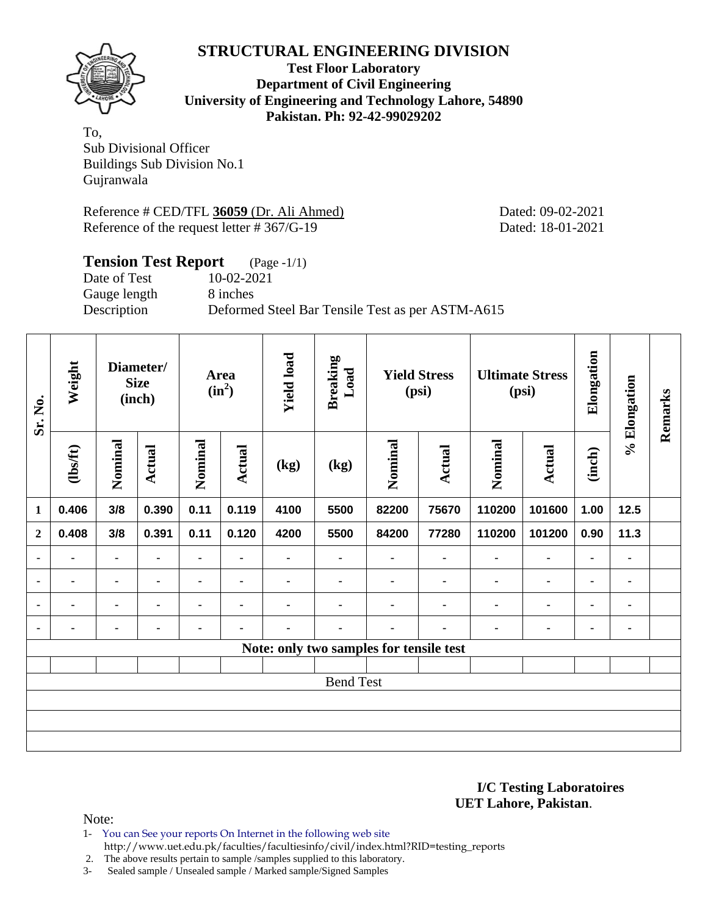

**Test Floor Laboratory Department of Civil Engineering University of Engineering and Technology Lahore, 54890 Pakistan. Ph: 92-42-99029202** 

To, Sub Divisional Officer Buildings Sub Division No.1 Gujranwala

Reference # CED/TFL **36059** (Dr. Ali Ahmed) Dated: 09-02-2021 Reference of the request letter # 367/G-19 Dated: 18-01-2021

| <b>Tension Test Report</b> | $(Page - 1/1)$                                   |
|----------------------------|--------------------------------------------------|
| Date of Test               | 10-02-2021                                       |
| Gauge length               | 8 inches                                         |
| Description                | Deformed Steel Bar Tensile Test as per ASTM-A615 |
|                            |                                                  |

| Sr. No.        | Weight         |                | Diameter/<br><b>Size</b><br>(inch) | Area<br>$(in^2)$ |                | <b>Yield load</b> | <b>Breaking</b><br>Load<br><b>Yield Stress</b><br>(psi) |                |                | <b>Ultimate Stress</b><br>(psi) |                | Elongation     | % Elongation | Remarks |
|----------------|----------------|----------------|------------------------------------|------------------|----------------|-------------------|---------------------------------------------------------|----------------|----------------|---------------------------------|----------------|----------------|--------------|---------|
|                | $\frac{2}{10}$ | Nominal        | <b>Actual</b>                      | Nominal          | <b>Actual</b>  | (kg)              | (kg)                                                    | Nominal        | <b>Actual</b>  | Nominal                         | <b>Actual</b>  | (inch)         |              |         |
| $\mathbf{1}$   | 0.406          | 3/8            | 0.390                              | 0.11             | 0.119          | 4100              | 5500                                                    | 82200          | 75670          | 110200                          | 101600         | 1.00           | 12.5         |         |
| $\mathbf{2}$   | 0.408          | 3/8            | 0.391                              | 0.11             | 0.120          | 4200              | 5500                                                    | 84200          | 77280          | 110200                          | 101200         | 0.90           | 11.3         |         |
| $\blacksquare$ | ۰              | $\blacksquare$ | $\blacksquare$                     | ۰                | $\blacksquare$ | ۰                 | ۰                                                       | ٠              | $\blacksquare$ | $\blacksquare$                  | ۰              | $\blacksquare$ | ٠            |         |
| $\blacksquare$ | $\blacksquare$ | $\blacksquare$ |                                    | ۰                | $\blacksquare$ |                   | $\blacksquare$                                          |                |                | $\blacksquare$                  | ۰              | ۰              | ۰            |         |
| $\blacksquare$ | ۰              | ۰              |                                    |                  | $\blacksquare$ |                   |                                                         | $\blacksquare$ |                | $\blacksquare$                  | $\blacksquare$ | ۰              | ٠            |         |
| $\blacksquare$ | ä,             | $\blacksquare$ | ٠                                  |                  | $\blacksquare$ |                   | $\blacksquare$                                          | ٠              | ٠              | $\blacksquare$                  | $\blacksquare$ | $\blacksquare$ | ٠            |         |
|                |                |                |                                    |                  |                |                   | Note: only two samples for tensile test                 |                |                |                                 |                |                |              |         |
|                |                |                |                                    |                  |                |                   |                                                         |                |                |                                 |                |                |              |         |
|                |                |                |                                    |                  |                |                   | <b>Bend Test</b>                                        |                |                |                                 |                |                |              |         |
|                |                |                |                                    |                  |                |                   |                                                         |                |                |                                 |                |                |              |         |
|                |                |                |                                    |                  |                |                   |                                                         |                |                |                                 |                |                |              |         |
|                |                |                |                                    |                  |                |                   |                                                         |                |                |                                 |                |                |              |         |

**I/C Testing Laboratoires UET Lahore, Pakistan**.

Note:

1- You can See your reports On Internet in the following web site http://www.uet.edu.pk/faculties/facultiesinfo/civil/index.html?RID=testing\_reports

2. The above results pertain to sample /samples supplied to this laboratory.

3- Sealed sample / Unsealed sample / Marked sample/Signed Samples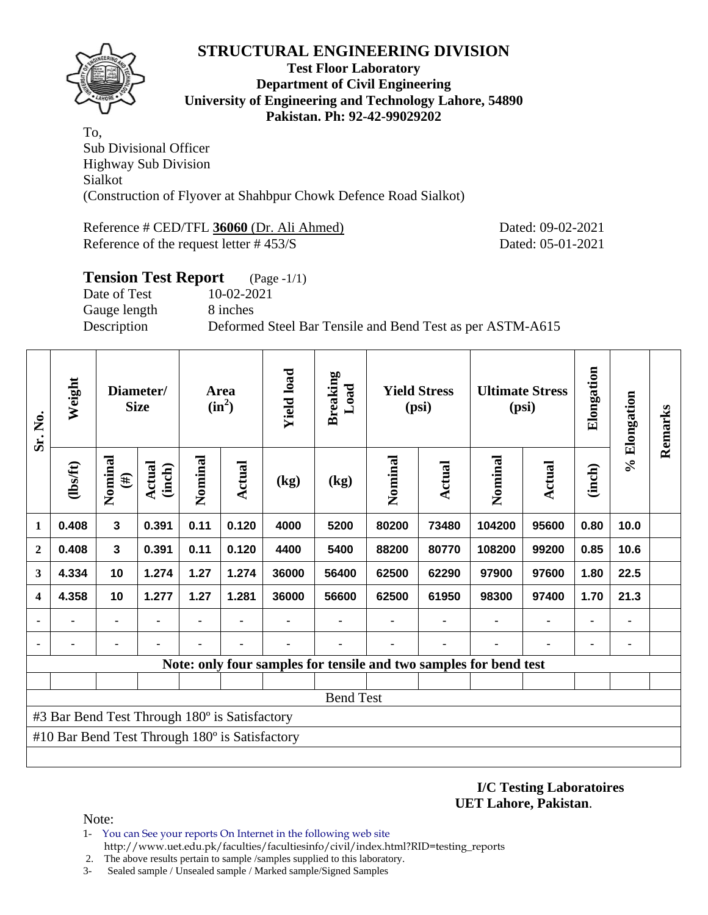

#### **Test Floor Laboratory Department of Civil Engineering University of Engineering and Technology Lahore, 54890 Pakistan. Ph: 92-42-99029202**

To, Sub Divisional Officer Highway Sub Division Sialkot (Construction of Flyover at Shahbpur Chowk Defence Road Sialkot)

Reference # CED/TFL **36060** (Dr. Ali Ahmed) Dated: 09-02-2021 Reference of the request letter # 453/S Dated: 05-01-2021

| <b>Tension Test Report</b> | $(Page - 1/1)$                                            |
|----------------------------|-----------------------------------------------------------|
| Date of Test               | 10-02-2021                                                |
| Gauge length               | 8 inches                                                  |
| Description                | Deformed Steel Bar Tensile and Bend Test as per ASTM-A615 |
|                            |                                                           |

| Weight<br>Sr. No.       |                                                |                   | Diameter/<br><b>Size</b> |         | Area<br>$(in^2)$ | <b>Yield load</b> | <b>Breaking</b><br>Load | <b>Yield Stress</b><br>(psi) |        | <b>Ultimate Stress</b><br>(psi)                                   |                | Elongation     | % Elongation | Remarks |
|-------------------------|------------------------------------------------|-------------------|--------------------------|---------|------------------|-------------------|-------------------------|------------------------------|--------|-------------------------------------------------------------------|----------------|----------------|--------------|---------|
|                         | (1bsft)                                        | Nominal<br>$(\#)$ | Actual<br>(inch)         | Nominal | Actual           | (kg)              | (kg)                    | Nominal                      | Actual | Nominal                                                           | <b>Actual</b>  | (inch)         |              |         |
| 1                       | 0.408                                          | $\mathbf{3}$      | 0.391                    | 0.11    | 0.120            | 4000              | 5200                    | 80200                        | 73480  | 104200                                                            | 95600          | 0.80           | 10.0         |         |
| $\overline{2}$          | 0.408                                          | $\mathbf{3}$      | 0.391                    | 0.11    | 0.120            | 4400              | 5400                    | 88200                        | 80770  | 108200                                                            | 99200          | 0.85           | 10.6         |         |
| 3                       | 4.334                                          | 10                | 1.274                    | 1.27    | 1.274            | 36000             | 56400                   | 62500                        | 62290  | 97900                                                             | 97600          | 1.80           | 22.5         |         |
| $\overline{\mathbf{4}}$ | 4.358                                          | 10                | 1.277                    | 1.27    | 1.281            | 36000             | 56600                   | 62500                        | 61950  | 98300                                                             | 97400          | 1.70           | 21.3         |         |
|                         |                                                | ۰                 | $\blacksquare$           |         | $\blacksquare$   |                   |                         |                              | ٠      | $\blacksquare$                                                    | $\blacksquare$ | $\blacksquare$ |              |         |
|                         |                                                |                   |                          | ۰       | ٠                |                   |                         |                              | ۰      |                                                                   | $\blacksquare$ | ٠              |              |         |
|                         |                                                |                   |                          |         |                  |                   |                         |                              |        | Note: only four samples for tensile and two samples for bend test |                |                |              |         |
|                         |                                                |                   |                          |         |                  |                   |                         |                              |        |                                                                   |                |                |              |         |
|                         |                                                |                   |                          |         |                  |                   | <b>Bend Test</b>        |                              |        |                                                                   |                |                |              |         |
|                         | #3 Bar Bend Test Through 180° is Satisfactory  |                   |                          |         |                  |                   |                         |                              |        |                                                                   |                |                |              |         |
|                         | #10 Bar Bend Test Through 180° is Satisfactory |                   |                          |         |                  |                   |                         |                              |        |                                                                   |                |                |              |         |
|                         |                                                |                   |                          |         |                  |                   |                         |                              |        |                                                                   |                |                |              |         |

**I/C Testing Laboratoires UET Lahore, Pakistan**.

Note:

- 1- You can See your reports On Internet in the following web site http://www.uet.edu.pk/faculties/facultiesinfo/civil/index.html?RID=testing\_reports
- 2. The above results pertain to sample /samples supplied to this laboratory.
- 3- Sealed sample / Unsealed sample / Marked sample/Signed Samples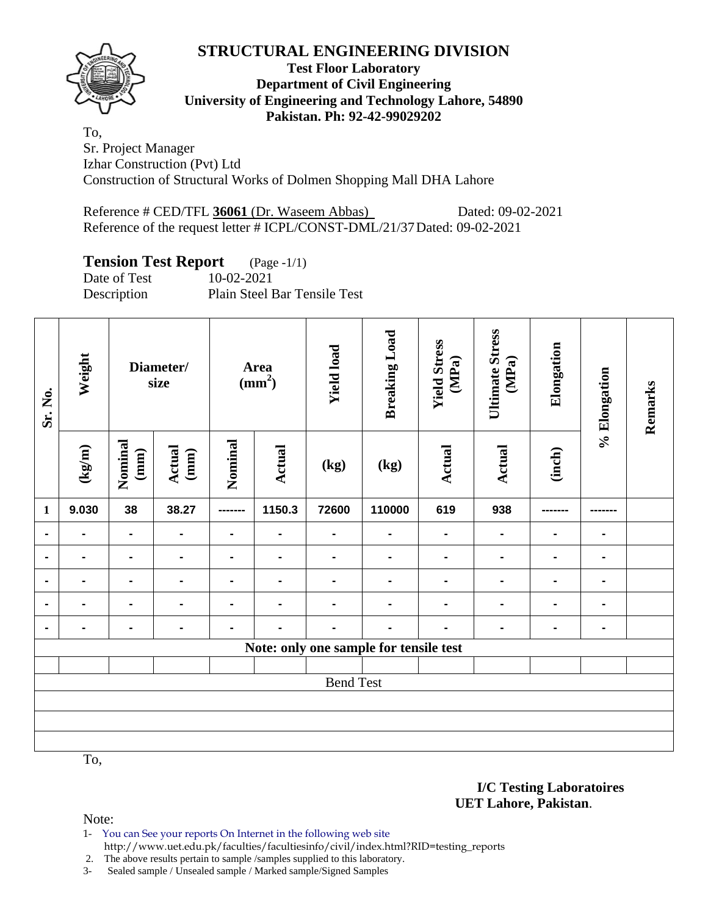

**Test Floor Laboratory Department of Civil Engineering University of Engineering and Technology Lahore, 54890 Pakistan. Ph: 92-42-99029202** 

To, Sr. Project Manager Izhar Construction (Pvt) Ltd Construction of Structural Works of Dolmen Shopping Mall DHA Lahore

Reference # CED/TFL 36061 (Dr. Waseem Abbas) Dated: 09-02-2021 Reference of the request letter # ICPL/CONST-DML/21/37 Dated: 09-02-2021

## **Tension Test Report** (Page -1/1)

Date of Test 10-02-2021 Description Plain Steel Bar Tensile Test

| Sr. No.        | Weight                           |                 | Diameter/<br>size |                | <b>Area</b><br>$\frac{1}{2}$ | <b>Yield load</b> | <b>Breaking Load</b>                   | <b>Yield Stress</b><br>(MPa) | <b>Ultimate Stress</b><br>(MPa) | Elongation     | % Elongation | Remarks |
|----------------|----------------------------------|-----------------|-------------------|----------------|------------------------------|-------------------|----------------------------------------|------------------------------|---------------------------------|----------------|--------------|---------|
|                | $\frac{(\text{kg/m})}{\text{m}}$ | Nominal<br>(mm) | Actual<br>(mm)    | Nominal        | Actual                       | (kg)              | (kg)                                   | <b>Actual</b>                | Actual                          | (inch)         |              |         |
| $\mathbf{1}$   | 9.030                            | 38              | 38.27             | --------       | 1150.3                       | 72600             | 110000                                 | 619                          | 938                             |                |              |         |
| $\blacksquare$ |                                  | $\blacksquare$  | $\blacksquare$    |                |                              |                   |                                        |                              | $\blacksquare$                  | $\blacksquare$ |              |         |
|                |                                  | Ξ.              | $\blacksquare$    | $\blacksquare$ |                              |                   |                                        |                              |                                 | $\blacksquare$ |              |         |
| $\blacksquare$ |                                  | $\blacksquare$  |                   |                |                              |                   |                                        |                              |                                 |                |              |         |
| $\blacksquare$ |                                  | $\blacksquare$  | $\blacksquare$    |                |                              |                   |                                        |                              |                                 |                |              |         |
| $\blacksquare$ |                                  | -               | $\blacksquare$    |                |                              |                   |                                        |                              |                                 |                |              |         |
|                |                                  |                 |                   |                |                              |                   | Note: only one sample for tensile test |                              |                                 |                |              |         |
|                |                                  |                 |                   |                |                              |                   |                                        |                              |                                 |                |              |         |
|                |                                  |                 |                   |                |                              | <b>Bend Test</b>  |                                        |                              |                                 |                |              |         |
|                |                                  |                 |                   |                |                              |                   |                                        |                              |                                 |                |              |         |
|                |                                  |                 |                   |                |                              |                   |                                        |                              |                                 |                |              |         |
|                |                                  |                 |                   |                |                              |                   |                                        |                              |                                 |                |              |         |

To,

Note:

1- You can See your reports On Internet in the following web site http://www.uet.edu.pk/faculties/facultiesinfo/civil/index.html?RID=testing\_reports

2. The above results pertain to sample /samples supplied to this laboratory.

3- Sealed sample / Unsealed sample / Marked sample/Signed Samples

**I/C Testing Laboratoires UET Lahore, Pakistan**.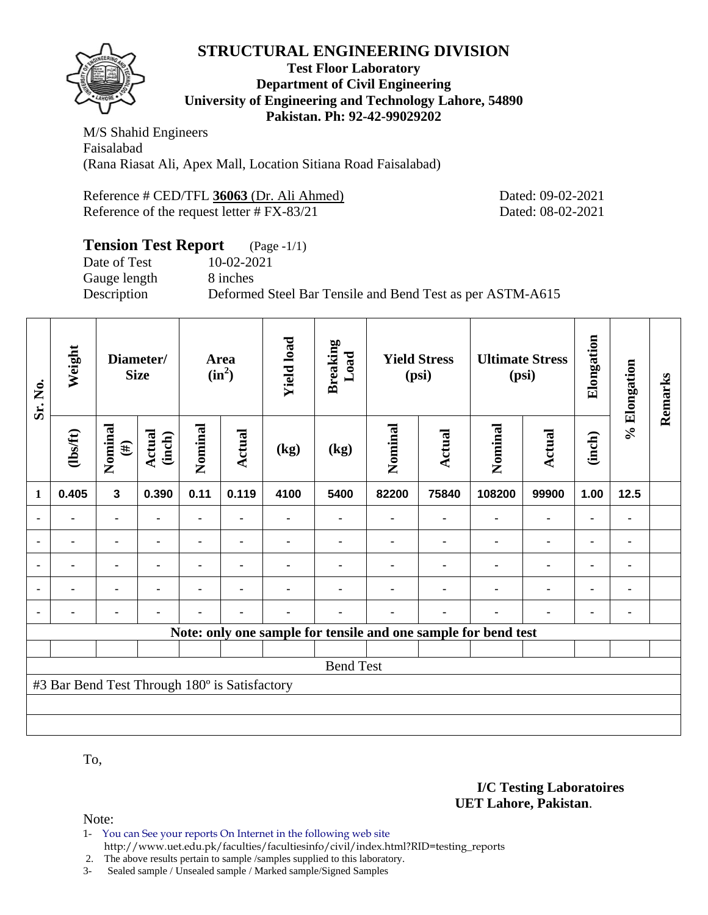#### **Test Floor Laboratory Department of Civil Engineering University of Engineering and Technology Lahore, 54890 Pakistan. Ph: 92-42-99029202**

M/S Shahid Engineers Faisalabad (Rana Riasat Ali, Apex Mall, Location Sitiana Road Faisalabad)

| Reference # CED/TFL 36063 (Dr. Ali Ahmed)     |
|-----------------------------------------------|
| Reference of the request letter $\#$ FX-83/21 |

Dated: 09-02-2021 Dated: 08-02-2021

#### **Tension Test Report** (Page -1/1) Date of Test 10-02-2021 Gauge length 8 inches Description Deformed Steel Bar Tensile and Bend Test as per ASTM-A615

| Sr. No.        | Weight                                        |                         | Diameter/<br><b>Size</b> | Area<br>$(in^2)$ |                | <b>Yield load</b> | <b>Breaking</b><br>Load | <b>Yield Stress</b><br>(psi) |        | <b>Ultimate Stress</b><br>(psi)                                |        | Elongation | % Elongation   | Remarks |
|----------------|-----------------------------------------------|-------------------------|--------------------------|------------------|----------------|-------------------|-------------------------|------------------------------|--------|----------------------------------------------------------------|--------|------------|----------------|---------|
|                | (1bs/ft)                                      | Nominal<br>$(\#)$       | <b>Actual</b><br>(inch)  | Nominal          | Actual         | (kg)              | (kg)                    | Nominal                      | Actual | Nominal                                                        | Actual | (inch)     |                |         |
| $\mathbf{1}$   | 0.405                                         | $\overline{\mathbf{3}}$ | 0.390                    | 0.11             | 0.119          | 4100              | 5400                    | 82200                        | 75840  | 108200                                                         | 99900  | 1.00       | $12.5$         |         |
|                |                                               | $\blacksquare$          |                          | ۰                |                |                   |                         |                              |        |                                                                |        |            |                |         |
| ٠              |                                               | -                       |                          |                  |                |                   |                         |                              |        |                                                                |        |            | ۰              |         |
| $\blacksquare$ |                                               | ۰                       |                          |                  | $\blacksquare$ |                   |                         |                              |        |                                                                |        |            | $\blacksquare$ |         |
| $\blacksquare$ | $\blacksquare$                                | $\blacksquare$          |                          | $\blacksquare$   | ٠              |                   |                         |                              |        |                                                                |        |            |                |         |
|                |                                               | ۰                       |                          | ۰                | $\blacksquare$ |                   |                         |                              |        |                                                                |        |            |                |         |
|                |                                               |                         |                          |                  |                |                   |                         |                              |        | Note: only one sample for tensile and one sample for bend test |        |            |                |         |
|                |                                               |                         |                          |                  |                |                   |                         |                              |        |                                                                |        |            |                |         |
|                | <b>Bend Test</b>                              |                         |                          |                  |                |                   |                         |                              |        |                                                                |        |            |                |         |
|                | #3 Bar Bend Test Through 180° is Satisfactory |                         |                          |                  |                |                   |                         |                              |        |                                                                |        |            |                |         |
|                |                                               |                         |                          |                  |                |                   |                         |                              |        |                                                                |        |            |                |         |
|                |                                               |                         |                          |                  |                |                   |                         |                              |        |                                                                |        |            |                |         |

To,

Note:

- 1- You can See your reports On Internet in the following web site
	- http://www.uet.edu.pk/faculties/facultiesinfo/civil/index.html?RID=testing\_reports

2. The above results pertain to sample /samples supplied to this laboratory.

3- Sealed sample / Unsealed sample / Marked sample/Signed Samples

#### **I/C Testing Laboratoires UET Lahore, Pakistan**.